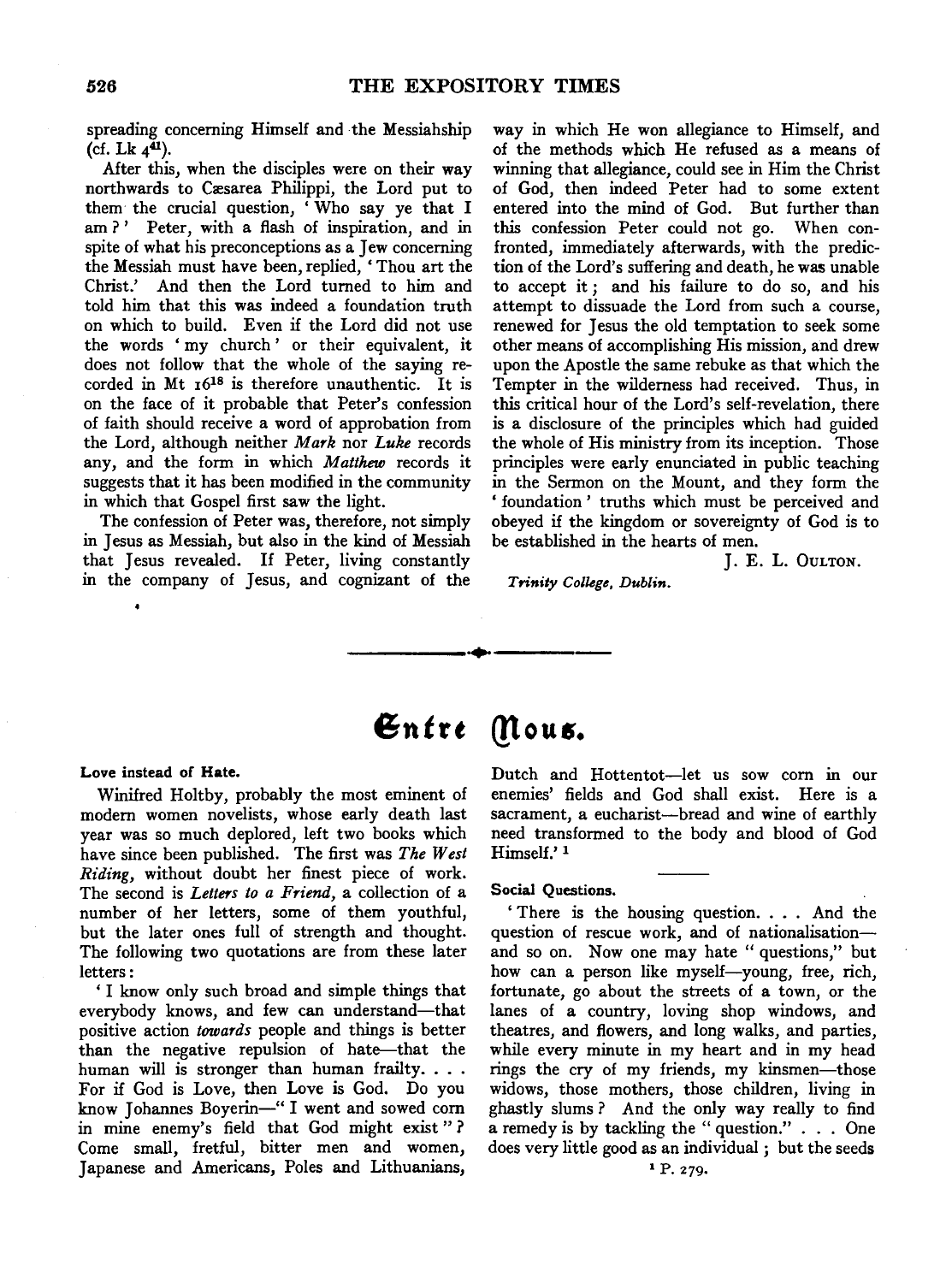spreading concerning Himself and the Messiahship (cf. Lk  $4<sup>41</sup>$ ).

After this, when the disciples were on their way northwards to Cæsarea Philippi, the Lord put to them the crucial question, ' Who say ye that I am?' Peter, with a flash of inspiration, and in spite of what his preconceptions as a Jew concerning the Messiah must have been, replied, 'Thou art the Christ.' And then the Lord turned to him and told him that this was indeed a foundation truth on which to build. Even if the Lord did not use the words ' my church ' or their equivalent, it does not follow that the whole of the saying recorded in Mt 1618 is therefore unauthentic. It is on the face of it probable that Peter's confession of faith should receive a word of approbation from the Lord, although neither *Mark* nor *Luke* records any, and the form in which *Matthew* records it suggests that it has been modified in the community in which that Gospel first saw the light.

The confession of Peter was, therefore, not simply in Jesus as Messiah, but also in the kind of Messiah that Jesus revealed. If Peter, living constantly in the company of Jesus, and cognizant of the way in which He won allegiance to Himself, and of the methods which He refused as a means of winning that allegiance, could see in Him the Christ of God, then indeed Peter had to some extent entered into the mind of God. But further than this confession Peter could not go. When confronted, immediately afterwards, with the prediction of the Lord's suffering and death, he was unable to accept it; and his failure to do so, and his attempt to dissuade the Lord from such a course, renewed for Jesus the old temptation to seek some other means of accomplishing His mission, and drew upon the Apostle the same rebuke as that which the Tempter in the wilderness had received. Thus, in this critical hour of the Lord's self-revelation, there is a disclosure of the principles which had guided the whole of His ministry from its inception. Those principles were early enunciated in public teaching in the Sermon on the Mount, and they form the ' foundation ' truths which must be perceived and obeyed if the kingdom or sovereignty of God is to be established in the hearts of men.

J. E. L. OULTON.

*Trinity College, Dublin.* 

# $Entre$  (Nous.

## Love instead of Hate.

Winifred Holtby, probably the most eminent of modern women novelists, whose early death last year was so much deplored, left two books which have since been published. The first was *The West Riding,* without doubt her finest piece of work. The second is *Letters to a Friend,* a collection of a number of her letters, some of them youthful, but the later ones full of strength and thought. The following two quotations are from these later letters:

' I know only such broad and simple things that everybody knows, and few can understand-that positive action *towards* people and things is better than the negative repulsion of hate—that the human will is stronger than human frailty.  $\ldots$ For if God is Love, then Love is God. Do you know Johannes Boyerin-" I went and sowed corn in mine enemy's field that God might exist " ? Come small, fretful, bitter men and women, Japanese and Americans, Poles and Lithuanians,

Dutch and Hottentot-let us sow corn in our enemies' fields and God shall exist. Here is a sacrament, a eucharist--bread and wine of earthly need transformed to the body and blood of God Himself.' 1

#### Social Questions.

' There is the housing question. . . . And the question of rescue work, and of nationalisationand so on. Now one may hate "questions," but how can a person like myself-young, free, rich, fortunate, go about the streets of a town, or the lanes of a country, loving shop windows, and theatres, and flowers, and long walks, and parties, while every minute in my heart and in my head rings the cry of my friends, my kinsmen-those widows, those mothers, those children, living in ghastly slums ? And the only way really to find a remedy is by tackling the " question.'' . . . One does very little good as an individual; but the seeds  $1 P. 279$ .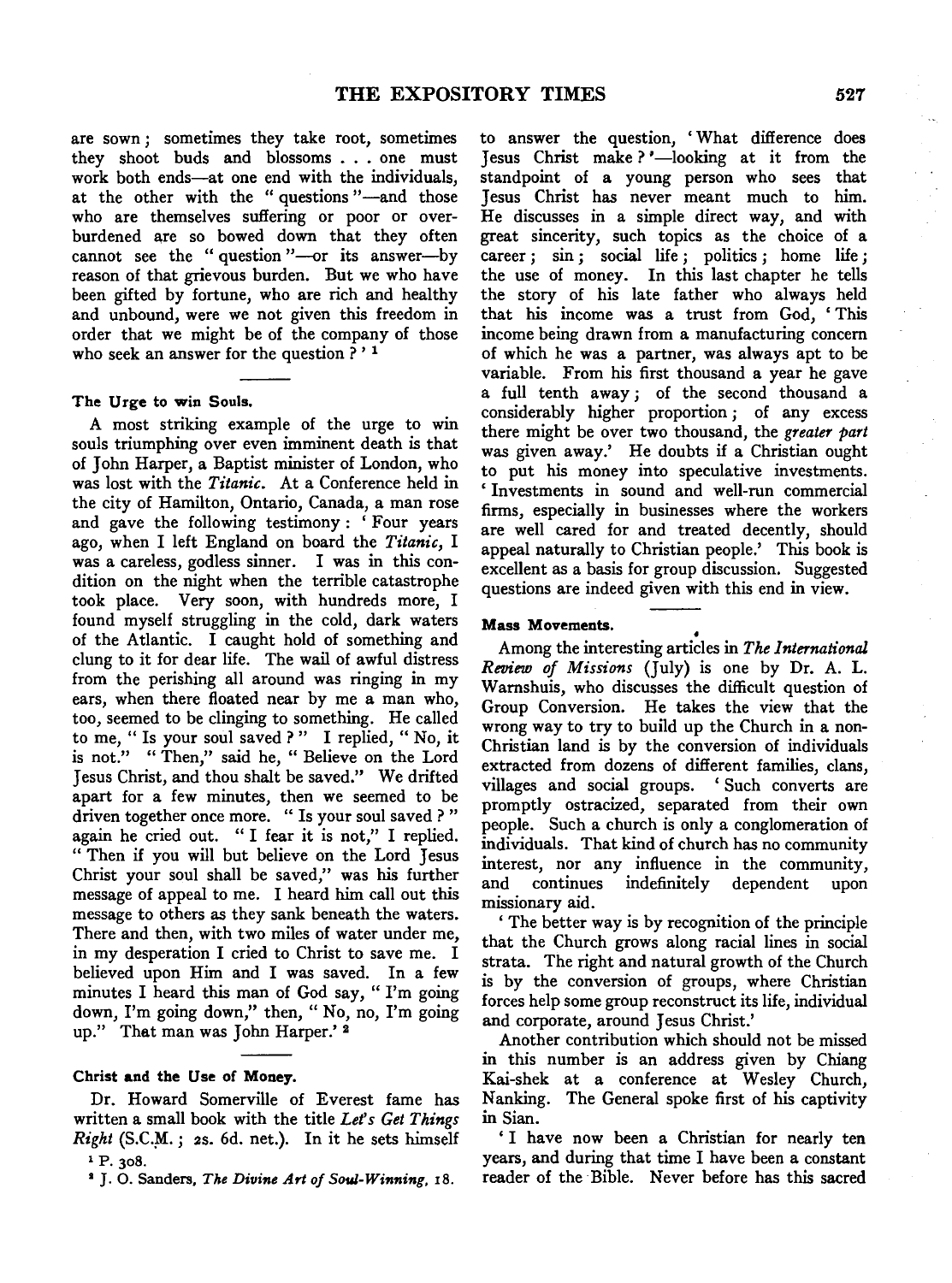are sown ; sometimes they take root, sometimes they shoot buds and blossoms . . . one must work both ends-at one end with the individuals, at the other with the "questions "-and those who are themselves suffering or poor or overburdened are so bowed down that they often cannot see the " question "---or its answer---by reason of that grievous burden. But we who have been gifted by fortune, who are rich and healthy and unbound, were we not given this freedom in order that we might be of the company of those who seek an answer for the question ? '<sup>1</sup>

## The Urge to win Souls.

A most striking example of the urge to win souls triumphing over even imminent death is that of John Harper, a Baptist minister of London, who was lost with the *Titanic.* At a Conference held in the city of Hamilton, Ontario, Canada, a man rose and gave the following testimony: 'Four years ago, when I left England on board the *Titanic,* I was a careless, godless sinner. I was in this condition on the night when the terrible catastrophe took place. Very soon, with hundreds more, I found myself struggling in the cold, dark waters of the Atlantic. I caught hold of something and clung to it for dear life. The wail of awful distress from the perishing all around was ringing in my ears, when there floated near by me a man who, too, seemed to be clinging to something. He called to me, " Is your soul saved ? " I replied, " No, it is not." "Then," said he, " Believe on the Lord Jesus Christ, and thou shalt be saved." We drifted apart for a few minutes, then we seemed to be driven together once more. " Is your soul saved ?" again he cried out. " I fear it is not," I replied. " Then if you will but believe on the Lord Jesus Christ your soul shall be saved," was his further message of appeal to me. I heard him call out this message to others as they sank beneath the waters. There and then, with two miles of water under me, in my desperation I cried to Christ to save me. I believed upon Him and I was saved. In a few minutes I heard this man of God say, "I'm going down, I'm going down," then, "No, no, I'm going up." That man was John Harper.' 2

## Christ and the Use of Money.

Dr. Howard Somerville of Everest fame has written a small book with the title *Let's Get Things Right* (S.C.M.; 2s. 6d. net.). In it he sets himself<br><sup>1</sup> P. 308.<br><sup>1</sup> J. O. Sanders, *The Divine Art of Soul-Winning*, 18.

to answer the question, ' What difference does Iesus Christ make? '-looking at it from the standpoint of a young person who sees that Jesus Christ has never meant much to him. He discusses in a simple direct way, and with great sincerity, such topics as the choice of a career ; sin ; social life ; politics ; home life ; the use of money. In this last chapter he tells the story of his late father who always held that his income was a trust from God, 'This income being drawn from a manufacturing concern of which he was a partner, was always apt to be variable. From his first thousand a year he gave a full tenth away ; of the second thousand a considerably higher proportion ; of any excess there might be over two thousand, the *greater part*  was given away.' He doubts if a Christian ought to put his money into speculative investments. ' Investments in sound and well-run commercial firms, especially in businesses where the workers are well cared for and treated decently, should appeal naturally to Christian people.' This book is excellent as a basis for group discussion. Suggested questions are indeed given with this end in view.

### Mass Movements.

• Among the interesting articles in *The International Review of Missions* (July) is one by Dr. A. L. Wamshuis, who discusses the difficult question of Group Conversion. He takes the view that the wrong way to try to build up the Church in a non-Christian land is by the conversion of individuals extracted from dozens of different families, clans, villages and social groups. ' Such converts are promptly ostracized, separated from their own people. Such a church is only a conglomeration of individuals. That kind of church has no community interest, nor any influence in the community, and continues indefinitely dependent upon missionary aid.

'The better way is by recognition of the principle that the Church grows along racial lines in social strata. The right and natural growth of the Church is by the conversion of groups, where Christian forces help some group reconstruct its life, individual and corporate, around Jesus Christ.'

Another contribution which should not be missed in this number is an address given by Chiang Kai-shek at a conference at Wesley Church, Nanking. The General spoke first of his captivity in Sian.

' I have now been a Christian for nearly ten years, and during that time I have been a constant reader of the Bible. Never before has this sacred